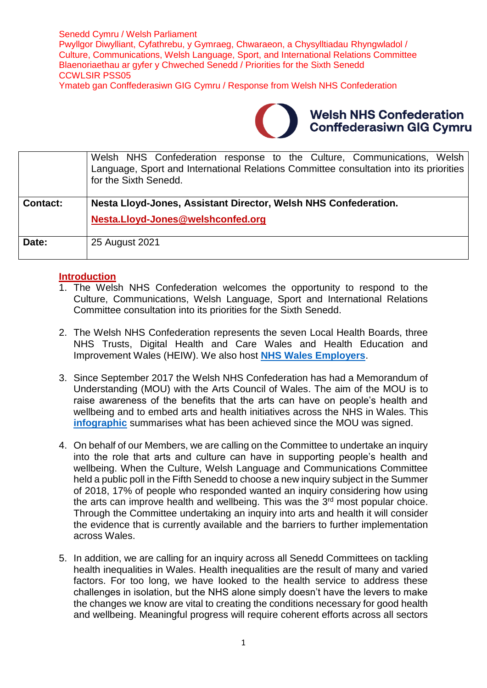Senedd Cymru / Welsh Parliament Pwyllgor Diwylliant, Cyfathrebu, y Gymraeg, Chwaraeon, a Chysylltiadau Rhyngwladol / Culture, Communications, Welsh Language, Sport, and International Relations Committee Blaenoriaethau ar gyfer y Chweched Senedd / Priorities for the Sixth Senedd CCWLSIR PSS05 Ymateb gan Conffederasiwn GIG Cymru / Response from Welsh NHS Confederation



### **Welsh NHS Confederation Conffederasiwn GIG Cymru**

|                 | Welsh NHS Confederation response to the Culture, Communications, Welsh<br>Language, Sport and International Relations Committee consultation into its priorities<br>for the Sixth Senedd. |
|-----------------|-------------------------------------------------------------------------------------------------------------------------------------------------------------------------------------------|
| <b>Contact:</b> | Nesta Lloyd-Jones, Assistant Director, Welsh NHS Confederation.<br>Nesta.Lloyd-Jones@welshconfed.org                                                                                      |
| Date:           | 25 August 2021                                                                                                                                                                            |

#### **Introduction**

- 1. The Welsh NHS Confederation welcomes the opportunity to respond to the Culture, Communications, Welsh Language, Sport and International Relations Committee consultation into its priorities for the Sixth Senedd.
- 2. The Welsh NHS Confederation represents the seven Local Health Boards, three NHS Trusts, Digital Health and Care Wales and Health Education and Improvement Wales (HEIW). We also host **[NHS Wales Employers](https://www.nhsconfed.org/regions-and-eu/welsh-nhs-confederation/nhs-wales-employers)**.
- 3. Since September 2017 the Welsh NHS Confederation has had a Memorandum of Understanding (MOU) with the Arts Council of Wales. The aim of the MOU is to raise awareness of the benefits that the arts can have on people's health and wellbeing and to embed arts and health initiatives across the NHS in Wales. This **[infographic](https://www.nhsconfed.org/sites/default/files/media/Advancing%20Arts%20Health%20and%20Wellbeing.pdf)** summarises what has been achieved since the MOU was signed.
- 4. On behalf of our Members, we are calling on the Committee to undertake an inquiry into the role that arts and culture can have in supporting people's health and wellbeing. When the Culture, Welsh Language and Communications Committee held a public poll in the Fifth Senedd to choose a new inquiry subject in the Summer of 2018, 17% of people who responded wanted an inquiry considering how using the arts can improve health and wellbeing. This was the 3<sup>rd</sup> most popular choice. Through the Committee undertaking an inquiry into arts and health it will consider the evidence that is currently available and the barriers to further implementation across Wales.
- 5. In addition, we are calling for an inquiry across all Senedd Committees on tackling health inequalities in Wales. Health inequalities are the result of many and varied factors. For too long, we have looked to the health service to address these challenges in isolation, but the NHS alone simply doesn't have the levers to make the changes we know are vital to creating the conditions necessary for good health and wellbeing. Meaningful progress will require coherent efforts across all sectors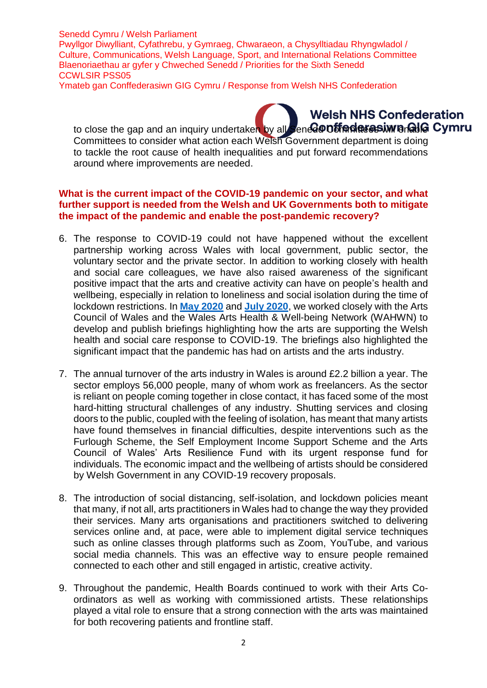Senedd Cymru / Welsh Parliament Pwyllgor Diwylliant, Cyfathrebu, y Gymraeg, Chwaraeon, a Chysylltiadau Rhyngwladol / Culture, Communications, Welsh Language, Sport, and International Relations Committee Blaenoriaethau ar gyfer y Chweched Senedd / Priorities for the Sixth Senedd CCWLSIR PSS05

Ymateb gan Conffederasiwn GIG Cymru / Response from Welsh NHS Confederation

## **Welsh NHS Confederation**

to close the gap and an inquiry undertaken by all Senedor of factas will analy Cymru Committees to consider what action each Welsh Government department is doing to tackle the root cause of health inequalities and put forward recommendations around where improvements are needed.

#### **What is the current impact of the COVID-19 pandemic on your sector, and what further support is needed from the Welsh and UK Governments both to mitigate the impact of the pandemic and enable the post-pandemic recovery?**

- 6. The response to COVID-19 could not have happened without the excellent partnership working across Wales with local government, public sector, the voluntary sector and the private sector. In addition to working closely with health and social care colleagues, we have also raised awareness of the significant positive impact that the arts and creative activity can have on people's health and wellbeing, especially in relation to loneliness and social isolation during the time of lockdown restrictions. In **[May 2020](https://www.nhsconfed.org/sites/default/files/media/How-the-arts-are-supporting-Welsh-health-and-social-care-response-to-COVID-19_4.pdf)** and **[July 2020](https://www.nhsconfed.org/sites/default/files/media/How-the-arts-are-still-supporting-Welsh-health-and-social-care-response-to-COVID-19.pdf)**, we worked closely with the Arts Council of Wales and the Wales Arts Health & Well-being Network (WAHWN) to develop and publish briefings highlighting how the arts are supporting the Welsh health and social care response to COVID-19. The briefings also highlighted the significant impact that the pandemic has had on artists and the arts industry.
- 7. The annual turnover of the arts industry in Wales is around £2.2 billion a year. The sector employs 56,000 people, many of whom work as freelancers. As the sector is reliant on people coming together in close contact, it has faced some of the most hard-hitting structural challenges of any industry. Shutting services and closing doors to the public, coupled with the feeling of isolation, has meant that many artists have found themselves in financial difficulties, despite interventions such as the Furlough Scheme, the Self Employment Income Support Scheme and the Arts Council of Wales' Arts Resilience Fund with its urgent response fund for individuals. The economic impact and the wellbeing of artists should be considered by Welsh Government in any COVID-19 recovery proposals.
- 8. The introduction of social distancing, self-isolation, and lockdown policies meant that many, if not all, arts practitioners in Wales had to change the way they provided their services. Many arts organisations and practitioners switched to delivering services online and, at pace, were able to implement digital service techniques such as online classes through platforms such as Zoom, YouTube, and various social media channels. This was an effective way to ensure people remained connected to each other and still engaged in artistic, creative activity.
- 9. Throughout the pandemic, Health Boards continued to work with their Arts Coordinators as well as working with commissioned artists. These relationships played a vital role to ensure that a strong connection with the arts was maintained for both recovering patients and frontline staff.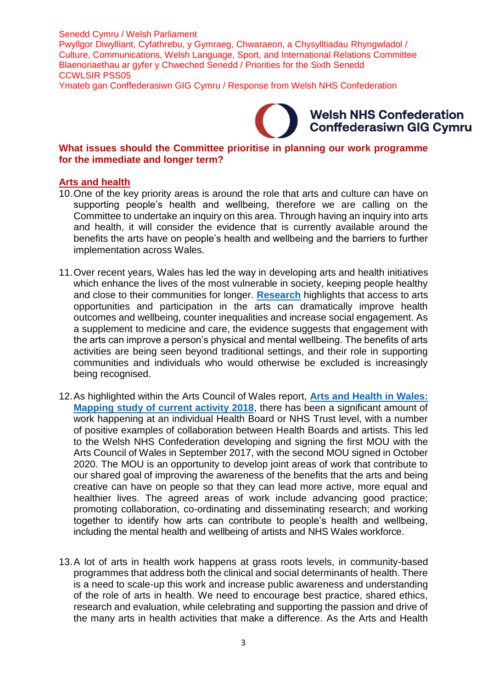Senedd Cymru / Welsh Parliament

Pwyllgor Diwylliant, Cyfathrebu, y Gymraeg, Chwaraeon, a Chysylltiadau Rhyngwladol / Culture, Communications, Welsh Language, Sport, and International Relations Committee Blaenoriaethau ar gyfer y Chweched Senedd / Priorities for the Sixth Senedd CCWLSIR PSS05

Ymateb gan Conffederasiwn GIG Cymru / Response from Welsh NHS Confederation

### **Welsh NHS Confederation Conffederasiwn GIG Cymru**

#### **What issues should the Committee prioritise in planning our work programme for the immediate and longer term?**

#### **Arts and health**

- 10.One of the key priority areas is around the role that arts and culture can have on supporting people's health and wellbeing, therefore we are calling on the Committee to undertake an inquiry on this area. Through having an inquiry into arts and health, it will consider the evidence that is currently available around the benefits the arts have on people's health and wellbeing and the barriers to further implementation across Wales.
- 11.Over recent years, Wales has led the way in developing arts and health initiatives which enhance the lives of the most vulnerable in society, keeping people healthy and close to their communities for longer. **[Research](https://www.nhsconfed.org/sites/default/files/media/Arts-health-and-wellbeing_0.pdf)** highlights that access to arts opportunities and participation in the arts can dramatically improve health outcomes and wellbeing, counter inequalities and increase social engagement. As a supplement to medicine and care, the evidence suggests that engagement with the arts can improve a person's physical and mental wellbeing. The benefits of arts activities are being seen beyond traditional settings, and their role in supporting communities and individuals who would otherwise be excluded is increasingly being recognised.
- 12.As highlighted within the Arts Council of Wales report, **[Arts and Health in Wales:](file:///C:/Users/nestal/AppData/Local/Temp/MicrosoftEdgeDownloads/6c4b862c-7d39-4efc-879c-4346a0e9352d/Arts_and_Health_Volume_1_0.pdf)  [Mapping study of current activity 2018](file:///C:/Users/nestal/AppData/Local/Temp/MicrosoftEdgeDownloads/6c4b862c-7d39-4efc-879c-4346a0e9352d/Arts_and_Health_Volume_1_0.pdf)**, there has been a significant amount of work happening at an individual Health Board or NHS Trust level, with a number of positive examples of collaboration between Health Boards and artists. This led to the Welsh NHS Confederation developing and signing the first MOU with the Arts Council of Wales in September 2017, with the second MOU signed in October 2020. The MOU is an opportunity to develop joint areas of work that contribute to our shared goal of improving the awareness of the benefits that the arts and being creative can have on people so that they can lead more active, more equal and healthier lives. The agreed areas of work include advancing good practice: promoting collaboration, co-ordinating and disseminating research; and working together to identify how arts can contribute to people's health and wellbeing, including the mental health and wellbeing of artists and NHS Wales workforce.
- 13.A lot of arts in health work happens at grass roots levels, in community-based programmes that address both the clinical and social determinants of health. There is a need to scale-up this work and increase public awareness and understanding of the role of arts in health. We need to encourage best practice, shared ethics, research and evaluation, while celebrating and supporting the passion and drive of the many arts in health activities that make a difference. As the Arts and Health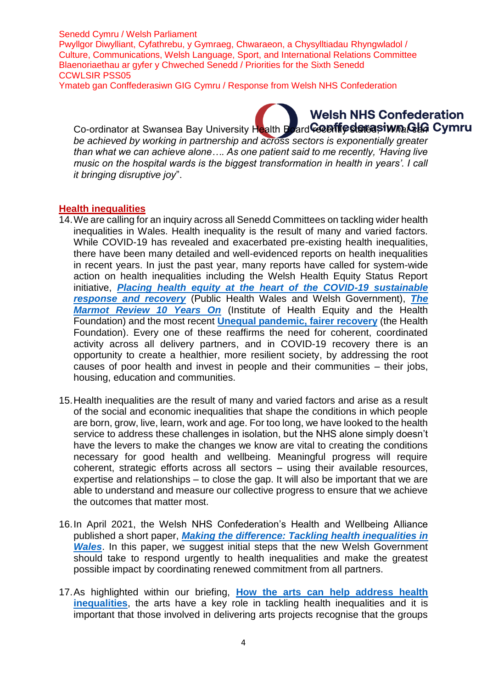#### Senedd Cymru / Welsh Parliament

Pwyllgor Diwylliant, Cyfathrebu, y Gymraeg, Chwaraeon, a Chysylltiadau Rhyngwladol / Culture, Communications, Welsh Language, Sport, and International Relations Committee Blaenoriaethau ar gyfer y Chweched Senedd / Priorities for the Sixth Senedd CCWLSIR PSS05

Ymateb gan Conffederasiwn GIG Cymru / Response from Welsh NHS Confederation

# **Welsh NHS Confederation**

Co-ordinator at Swansea Bay University Health Board Ceantic states iwhat Cymru *be achieved by working in partnership and across sectors is exponentially greater than what we can achieve alone…. As one patient said to me recently, 'Having live music on the hospital wards is the biggest transformation in health in years'. I call it bringing disruptive joy*".

#### **Health inequalities**

- 14.We are calling for an inquiry across all Senedd Committees on tackling wider health inequalities in Wales. Health inequality is the result of many and varied factors. While COVID-19 has revealed and exacerbated pre-existing health inequalities, there have been many detailed and well-evidenced reports on health inequalities in recent years. In just the past year, many reports have called for system-wide action on health inequalities including the Welsh Health Equity Status Report initiative, *[Placing health equity at the heart of the COVID-19 sustainable](https://phw.nhs.wales/news/placing-health-equity-at-the-heart-of-coronavirus-recovery-for-building-a-sustainable-future-for-wales/placing-health-equity-at-the-heart-of-the-covid-19-sustainable-response-and-recovery-building-prosperous-lives-for-all-in-wales/)  [response and recovery](https://phw.nhs.wales/news/placing-health-equity-at-the-heart-of-coronavirus-recovery-for-building-a-sustainable-future-for-wales/placing-health-equity-at-the-heart-of-the-covid-19-sustainable-response-and-recovery-building-prosperous-lives-for-all-in-wales/)* (Public Health Wales and Welsh Government), *[The](https://www.health.org.uk/publications/reports/the-marmot-review-10-years-on)  [Marmot Review 10 Years On](https://www.health.org.uk/publications/reports/the-marmot-review-10-years-on)* (Institute of Health Equity and the Health Foundation) and the most recent **[Unequal pandemic, fairer recovery](https://health.org.uk/publications/reports/unequal-pandemic-fairer-recovery)** (the Health Foundation). Every one of these reaffirms the need for coherent, coordinated activity across all delivery partners, and in COVID-19 recovery there is an opportunity to create a healthier, more resilient society, by addressing the root causes of poor health and invest in people and their communities – their jobs, housing, education and communities.
- 15.Health inequalities are the result of many and varied factors and arise as a result of the social and economic inequalities that shape the conditions in which people are born, grow, live, learn, work and age. For too long, we have looked to the health service to address these challenges in isolation, but the NHS alone simply doesn't have the levers to make the changes we know are vital to creating the conditions necessary for good health and wellbeing. Meaningful progress will require coherent, strategic efforts across all sectors – using their available resources, expertise and relationships – to close the gap. It will also be important that we are able to understand and measure our collective progress to ensure that we achieve the outcomes that matter most.
- 16.In April 2021, the Welsh NHS Confederation's Health and Wellbeing Alliance published a short paper, *[Making the difference: Tackling health inequalities in](https://www.rcplondon.ac.uk/news/some-consequences-covid-19-have-been-absolutely-devastating)  [Wales](https://www.rcplondon.ac.uk/news/some-consequences-covid-19-have-been-absolutely-devastating)*. In this paper, we suggest initial steps that the new Welsh Government should take to respond urgently to health inequalities and make the greatest possible impact by coordinating renewed commitment from all partners.
- 17.As highlighted within our briefing, **[How the arts can help address health](https://www.nhsconfed.org/sites/default/files/media/Briefing%20for%20CPG%20on%20Arts%20and%20Health%208th%20October%202020%20v5%20PDF.pdf)  [inequalities](https://www.nhsconfed.org/sites/default/files/media/Briefing%20for%20CPG%20on%20Arts%20and%20Health%208th%20October%202020%20v5%20PDF.pdf)**, the arts have a key role in tackling health inequalities and it is important that those involved in delivering arts projects recognise that the groups